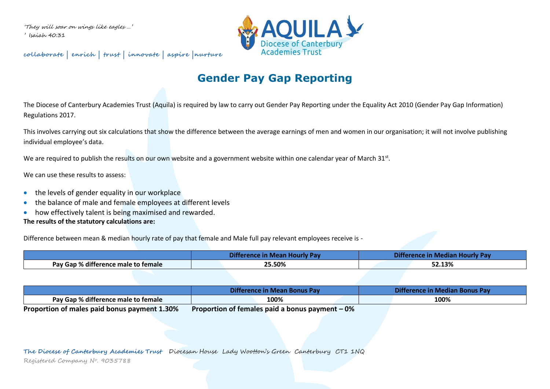'They will soar on wings like eagles …' ' Isaiah 40:31

**collaborate | enrich | trust | innovate | aspire |nurture**



# **Gender Pay Gap Reporting**

The Diocese of Canterbury Academies Trust (Aquila) is required by law to carry out Gender Pay Reporting under the Equality Act 2010 (Gender Pay Gap Information) Regulations 2017.

This involves carrying out six calculations that show the difference between the average earnings of men and women in our organisation; it will not involve publishing individual employee's data.

We are required to publish the results on our own website and a government website within one calendar year of March 31st.

We can use these results to assess:

- the levels of gender equality in our workplace
- the balance of male and female employees at different levels
- how effectively talent is being maximised and rewarded.

## **The results of the statutory calculations are:**

Difference between mean & median hourly rate of pay that female and Male full pay relevant employees receive is -

|                                                        | æ<br>니 I ¤[c<br>wre<br>.<br>лп Р | I METHEM                 |  |
|--------------------------------------------------------|----------------------------------|--------------------------|--|
| -126<br>Pay Gap %<br>e male to female.<br>, difference | 25.50%                           | F2.420<br><b>JZ.1370</b> |  |

|                                                | <b>In Mean Bonus</b><br><b>USV</b><br>JITT<br>rerence | sonus<br>Difference<br>-wiedlan L. |  |  |
|------------------------------------------------|-------------------------------------------------------|------------------------------------|--|--|
| <br><b>Pay Gap % difference male to female</b> | 100%                                                  | 100%                               |  |  |
|                                                |                                                       |                                    |  |  |

**Proportion of males paid bonus payment 1.30% Proportion of females paid a bonus payment – 0%**

**The Diocese of Canterbury Academies Trust** Diocesan House Lady Wootton's Green Canterbury CT1 1NQ

Registered Company N<sup>o</sup>. 9035788